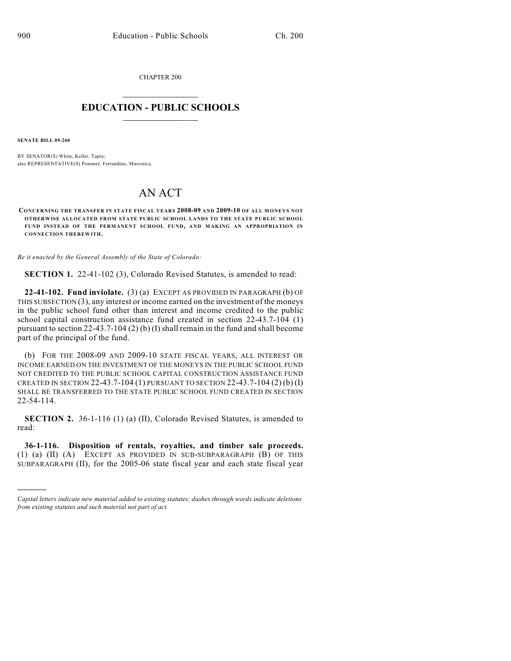CHAPTER 200  $\mathcal{L}_\text{max}$  . The set of the set of the set of the set of the set of the set of the set of the set of the set of the set of the set of the set of the set of the set of the set of the set of the set of the set of the set

## **EDUCATION - PUBLIC SCHOOLS**  $\_$   $\_$   $\_$   $\_$   $\_$   $\_$   $\_$   $\_$   $\_$

**SENATE BILL 09-260**

)))))

BY SENATOR(S) White, Keller, Tapia; also REPRESENTATIVE(S) Pommer, Ferrandino, Marostica.

## AN ACT

**CONCERNING THE TRANSFER IN STATE FISCAL YEARS 2008-09 AND 2009-10 OF ALL MONEYS NOT OTHERWISE ALLOCATED FROM STATE PUBLIC SCHOOL LANDS TO THE STATE PUBLIC SCHOOL FUND INSTEAD OF THE PERMANENT SCHOOL FUND, AND M AKING AN APPROPRIATION IN CONNECTION THEREWITH.**

*Be it enacted by the General Assembly of the State of Colorado:*

**SECTION 1.** 22-41-102 (3), Colorado Revised Statutes, is amended to read:

**22-41-102. Fund inviolate.** (3) (a) EXCEPT AS PROVIDED IN PARAGRAPH (b) OF THIS SUBSECTION  $(3)$ , any interest or income earned on the investment of the moneys in the public school fund other than interest and income credited to the public school capital construction assistance fund created in section 22-43.7-104 (1) pursuant to section 22-43.7-104 (2) (b) (I) shall remain in the fund and shall become part of the principal of the fund.

(b) FOR THE 2008-09 AND 2009-10 STATE FISCAL YEARS, ALL INTEREST OR INCOME EARNED ON THE INVESTMENT OF THE MONEYS IN THE PUBLIC SCHOOL FUND NOT CREDITED TO THE PUBLIC SCHOOL CAPITAL CONSTRUCTION ASSISTANCE FUND CREATED IN SECTION 22-43.7-104 (1) PURSUANT TO SECTION 22-43.7-104 (2) (b) (I) SHALL BE TRANSFERRED TO THE STATE PUBLIC SCHOOL FUND CREATED IN SECTION 22-54-114.

**SECTION 2.** 36-1-116 (1) (a) (II), Colorado Revised Statutes, is amended to read:

**36-1-116. Disposition of rentals, royalties, and timber sale proceeds.** (1) (a) (II) (A) EXCEPT AS PROVIDED IN SUB-SUBPARAGRAPH (B) OF THIS SUBPARAGRAPH (II), for the 2005-06 state fiscal year and each state fiscal year

*Capital letters indicate new material added to existing statutes; dashes through words indicate deletions from existing statutes and such material not part of act.*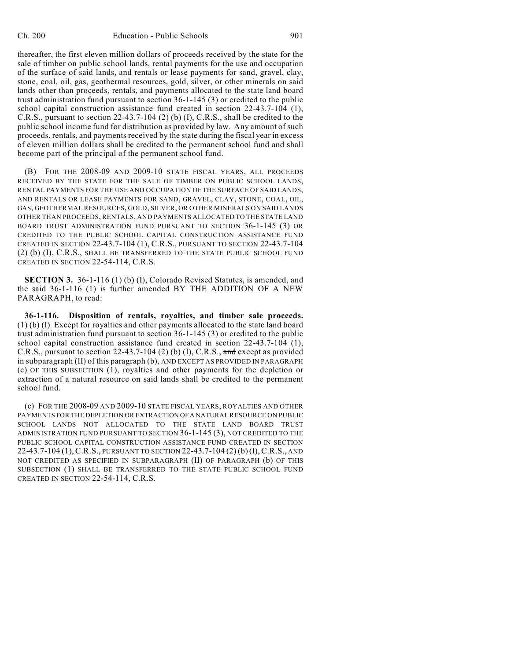thereafter, the first eleven million dollars of proceeds received by the state for the sale of timber on public school lands, rental payments for the use and occupation of the surface of said lands, and rentals or lease payments for sand, gravel, clay, stone, coal, oil, gas, geothermal resources, gold, silver, or other minerals on said lands other than proceeds, rentals, and payments allocated to the state land board trust administration fund pursuant to section 36-1-145 (3) or credited to the public school capital construction assistance fund created in section 22-43.7-104 (1), C.R.S., pursuant to section 22-43.7-104 (2) (b) (I), C.R.S., shall be credited to the public school income fund for distribution as provided by law. Any amount of such proceeds, rentals, and payments received by the state during the fiscal year in excess of eleven million dollars shall be credited to the permanent school fund and shall become part of the principal of the permanent school fund.

(B) FOR THE 2008-09 AND 2009-10 STATE FISCAL YEARS, ALL PROCEEDS RECEIVED BY THE STATE FOR THE SALE OF TIMBER ON PUBLIC SCHOOL LANDS, RENTAL PAYMENTS FOR THE USE AND OCCUPATION OF THE SURFACE OF SAID LANDS, AND RENTALS OR LEASE PAYMENTS FOR SAND, GRAVEL, CLAY, STONE, COAL, OIL, GAS, GEOTHERMAL RESOURCES, GOLD, SILVER, OR OTHER MINERALS ON SAID LANDS OTHER THAN PROCEEDS, RENTALS, AND PAYMENTS ALLOCATED TO THE STATE LAND BOARD TRUST ADMINISTRATION FUND PURSUANT TO SECTION 36-1-145 (3) OR CREDITED TO THE PUBLIC SCHOOL CAPITAL CONSTRUCTION ASSISTANCE FUND CREATED IN SECTION 22-43.7-104 (1), C.R.S., PURSUANT TO SECTION 22-43.7-104 (2) (b) (I), C.R.S., SHALL BE TRANSFERRED TO THE STATE PUBLIC SCHOOL FUND CREATED IN SECTION 22-54-114, C.R.S.

**SECTION 3.** 36-1-116 (1) (b) (I), Colorado Revised Statutes, is amended, and the said 36-1-116 (1) is further amended BY THE ADDITION OF A NEW PARAGRAPH, to read:

**36-1-116. Disposition of rentals, royalties, and timber sale proceeds.** (1) (b) (I) Except for royalties and other payments allocated to the state land board trust administration fund pursuant to section 36-1-145 (3) or credited to the public school capital construction assistance fund created in section 22-43.7-104 (1), C.R.S., pursuant to section 22-43.7-104 (2) (b) (I), C.R.S., and except as provided in subparagraph (II) of this paragraph (b), AND EXCEPT AS PROVIDED IN PARAGRAPH (c) OF THIS SUBSECTION (1), royalties and other payments for the depletion or extraction of a natural resource on said lands shall be credited to the permanent school fund.

(c) FOR THE 2008-09 AND 2009-10 STATE FISCAL YEARS, ROYALTIES AND OTHER PAYMENTS FOR THE DEPLETION OR EXTRACTION OF A NATURAL RESOURCE ON PUBLIC SCHOOL LANDS NOT ALLOCATED TO THE STATE LAND BOARD TRUST ADMINISTRATION FUND PURSUANT TO SECTION 36-1-145 (3), NOT CREDITED TO THE PUBLIC SCHOOL CAPITAL CONSTRUCTION ASSISTANCE FUND CREATED IN SECTION 22-43.7-104 (1),C.R.S., PURSUANT TO SECTION 22-43.7-104 (2) (b)(I),C.R.S., AND NOT CREDITED AS SPECIFIED IN SUBPARAGRAPH (II) OF PARAGRAPH (b) OF THIS SUBSECTION (1) SHALL BE TRANSFERRED TO THE STATE PUBLIC SCHOOL FUND CREATED IN SECTION 22-54-114, C.R.S.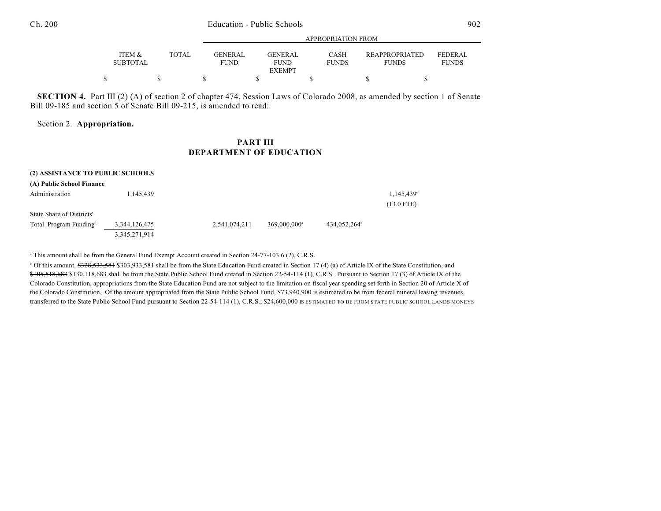## Ch. 200 Education - Public Schools 902

|                                      |       |                               | APPROPRIATION FROM            |                             |                                       |                                |  |  |
|--------------------------------------|-------|-------------------------------|-------------------------------|-----------------------------|---------------------------------------|--------------------------------|--|--|
| <b>ITEM &amp;</b><br><b>SUBTOTAL</b> | TOTAL | <b>GENERAL</b><br><b>FUND</b> | <b>GENERAL</b><br><b>FUND</b> | <b>CASH</b><br><b>FUNDS</b> | <b>REAPPROPRIATED</b><br><b>FUNDS</b> | <b>FEDERAL</b><br><b>FUNDS</b> |  |  |
|                                      |       |                               | <b>EXEMPT</b>                 |                             |                                       |                                |  |  |
|                                      |       |                               |                               |                             |                                       |                                |  |  |

**SECTION 4.** Part III (2) (A) of section 2 of chapter 474, Session Laws of Colorado 2008, as amended by section 1 of Senate Bill 09-185 and section 5 of Senate Bill 09-215, is amended to read:

Section 2. **Appropriation.**

## **PART III DEPARTMENT OF EDUCATION**

| (2) ASSISTANCE TO PUBLIC SCHOOLS<br>(A) Public School Finance |                                   |               |                            |                          |                           |
|---------------------------------------------------------------|-----------------------------------|---------------|----------------------------|--------------------------|---------------------------|
| Administration                                                | 1,145,439                         |               |                            |                          | 1,145,439<br>$(13.0$ FTE) |
| State Share of Districts'                                     |                                   |               |                            |                          |                           |
| Total Program Funding <sup>6</sup>                            | 3,344,126,475<br>3, 345, 271, 914 | 2,541,074,211 | $369,000,000$ <sup>a</sup> | 434,052,264 <sup>b</sup> |                           |

<sup>a</sup> This amount shall be from the General Fund Exempt Account created in Section 24-77-103.6 (2), C.R.S.

<sup>b</sup> Of this amount, \$328,533,581 \$303,933,581 shall be from the State Education Fund created in Section 17 (4) (a) of Article IX of the State Constitution, and \$105,518,683 \$130,118,683 shall be from the State Public School Fund created in Section 22-54-114 (1), C.R.S. Pursuant to Section 17 (3) of Article IX of the Colorado Constitution, appropriations from the State Education Fund are not subject to the limitation on fiscal year spending set forth in Section 20 of Article X of the Colorado Constitution. Of the amount appropriated from the State Public School Fund, \$73,940,900 is estimated to be from federal mineral leasing revenues transferred to the State Public School Fund pursuant to Section 22-54-114 (1), C.R.S.; \$24,600,000 IS ESTIMATED TO BE FROM STATE PUBLIC SCHOOL LANDS MONEYS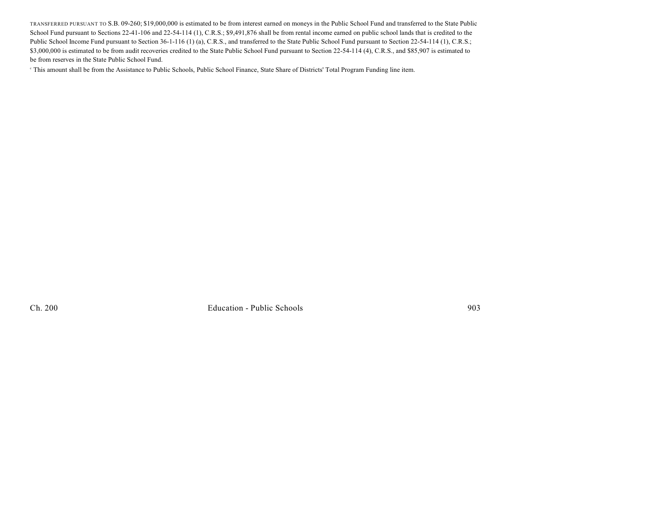TRANSFERRED PURSUANT TO S.B. 09-260; \$19,000,000 is estimated to be from interest earned on moneys in the Public School Fund and transferred to the State Public School Fund pursuant to Sections 22-41-106 and 22-54-114 (1), C.R.S.; \$9,491,876 shall be from rental income earned on public school lands that is credited to the Public School Income Fund pursuant to Section 36-1-116 (1) (a), C.R.S., and transferred to the State Public School Fund pursuant to Section 22-54-114 (1), C.R.S.; \$3,000,000 is estimated to be from audit recoveries credited to the State Public School Fund pursuant to Section 22-54-114 (4), C.R.S., and \$85,907 is estimated to be from reserves in the State Public School Fund.

This amount shall be from the Assistance to Public Schools, Public School Finance, State Share of Districts' Total Program Funding line item. <sup>c</sup>

Ch. 200 Education - Public Schools 903